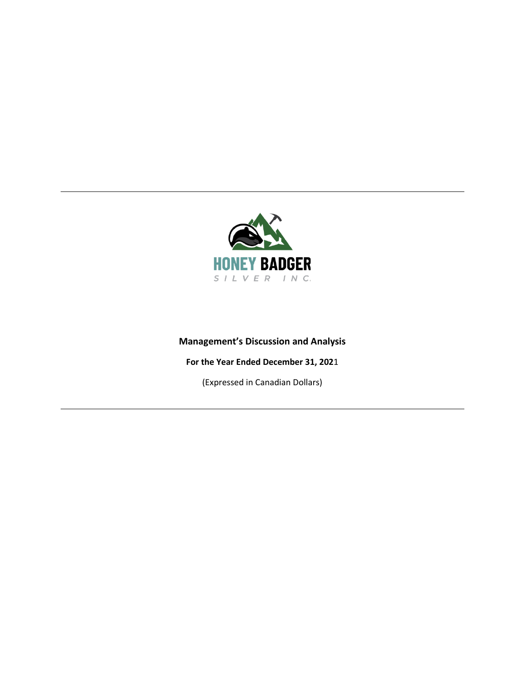

# **Management's Discussion and Analysis**

**For the Year Ended December 31, 202**1

(Expressed in Canadian Dollars)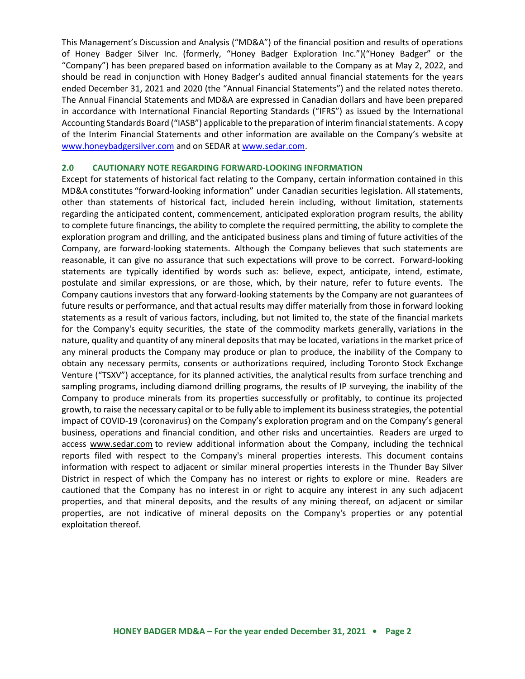This Management's Discussion and Analysis ("MD&A") of the financial position and results of operations of Honey Badger Silver Inc. (formerly, "Honey Badger Exploration Inc.")("Honey Badger" or the "Company") has been prepared based on information available to the Company as at May 2, 2022, and should be read in conjunction with Honey Badger's audited annual financial statements for the years ended December 31, 2021 and 2020 (the "Annual Financial Statements") and the related notes thereto. The Annual Financial Statements and MD&A are expressed in Canadian dollars and have been prepared in accordance with International Financial Reporting Standards ("IFRS") as issued by the International Accounting Standards Board ("IASB") applicable to the preparation of interim financial statements. A copy of the Interim Financial Statements and other information are available on the Company's website at www.honeybadgersilver.com and on SEDAR at www.sedar.com.

#### **2.0 CAUTIONARY NOTE REGARDING FORWARD-LOOKING INFORMATION**

Except for statements of historical fact relating to the Company, certain information contained in this MD&A constitutes "forward-looking information" under Canadian securities legislation. All statements, other than statements of historical fact, included herein including, without limitation, statements regarding the anticipated content, commencement, anticipated exploration program results, the ability to complete future financings, the ability to complete the required permitting, the ability to complete the exploration program and drilling, and the anticipated business plans and timing of future activities of the Company, are forward-looking statements. Although the Company believes that such statements are reasonable, it can give no assurance that such expectations will prove to be correct. Forward-looking statements are typically identified by words such as: believe, expect, anticipate, intend, estimate, postulate and similar expressions, or are those, which, by their nature, refer to future events. The Company cautions investors that any forward-looking statements by the Company are not guarantees of future results or performance, and that actual results may differ materially from those in forward looking statements as a result of various factors, including, but not limited to, the state of the financial markets for the Company's equity securities, the state of the commodity markets generally, variations in the nature, quality and quantity of any mineral deposits that may be located, variations in the market price of any mineral products the Company may produce or plan to produce, the inability of the Company to obtain any necessary permits, consents or authorizations required, including Toronto Stock Exchange Venture ("TSXV") acceptance, for its planned activities, the analytical results from surface trenching and sampling programs, including diamond drilling programs, the results of IP surveying, the inability of the Company to produce minerals from its properties successfully or profitably, to continue its projected growth, to raise the necessary capital or to be fully able to implement its business strategies, the potential impact of COVID-19 (coronavirus) on the Company's exploration program and on the Company's general business, operations and financial condition, and other risks and uncertainties. Readers are urged to access www.sedar.com to review additional information about the Company, including the technical reports filed with respect to the Company's mineral properties interests. This document contains information with respect to adjacent or similar mineral properties interests in the Thunder Bay Silver District in respect of which the Company has no interest or rights to explore or mine. Readers are cautioned that the Company has no interest in or right to acquire any interest in any such adjacent properties, and that mineral deposits, and the results of any mining thereof, on adjacent or similar properties, are not indicative of mineral deposits on the Company's properties or any potential exploitation thereof.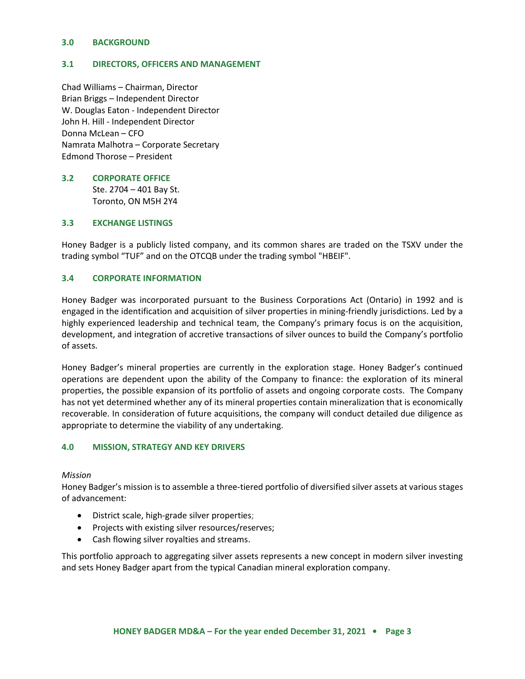#### **3.0 BACKGROUND**

#### **3.1 DIRECTORS, OFFICERS AND MANAGEMENT**

Chad Williams – Chairman, Director Brian Briggs – Independent Director W. Douglas Eaton - Independent Director John H. Hill - Independent Director Donna McLean – CFO Namrata Malhotra – Corporate Secretary Edmond Thorose – President

**3.2 CORPORATE OFFICE** Ste. 2704 – 401 Bay St. Toronto, ON M5H 2Y4

#### **3.3 EXCHANGE LISTINGS**

Honey Badger is a publicly listed company, and its common shares are traded on the TSXV under the trading symbol "TUF" and on the OTCQB under the trading symbol "HBEIF".

#### **3.4 CORPORATE INFORMATION**

Honey Badger was incorporated pursuant to the Business Corporations Act (Ontario) in 1992 and is engaged in the identification and acquisition of silver properties in mining-friendly jurisdictions. Led by a highly experienced leadership and technical team, the Company's primary focus is on the acquisition, development, and integration of accretive transactions of silver ounces to build the Company's portfolio of assets.

Honey Badger's mineral properties are currently in the exploration stage. Honey Badger's continued operations are dependent upon the ability of the Company to finance: the exploration of its mineral properties, the possible expansion of its portfolio of assets and ongoing corporate costs. The Company has not yet determined whether any of its mineral properties contain mineralization that is economically recoverable. In consideration of future acquisitions, the company will conduct detailed due diligence as appropriate to determine the viability of any undertaking.

#### **4.0 MISSION, STRATEGY AND KEY DRIVERS**

#### *Mission*

Honey Badger's mission is to assemble a three-tiered portfolio of diversified silver assets at various stages of advancement:

- District scale, high-grade silver properties;
- Projects with existing silver resources/reserves;
- Cash flowing silver royalties and streams.

This portfolio approach to aggregating silver assets represents a new concept in modern silver investing and sets Honey Badger apart from the typical Canadian mineral exploration company.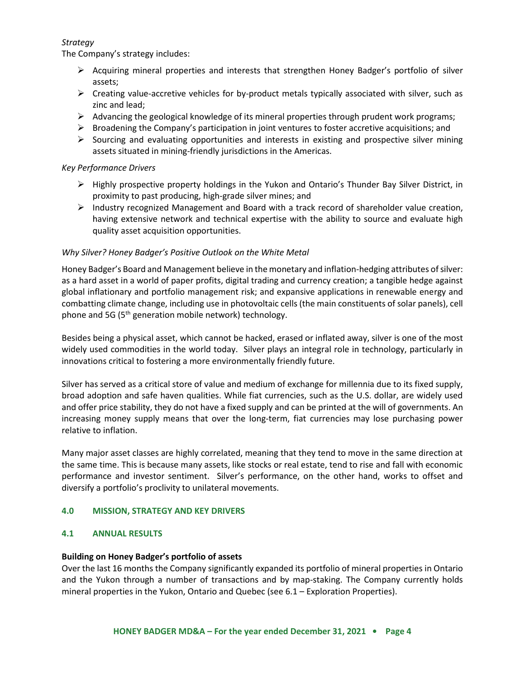# *Strategy*

The Company's strategy includes:

- ➢ Acquiring mineral properties and interests that strengthen Honey Badger's portfolio of silver assets;
- $\triangleright$  Creating value-accretive vehicles for by-product metals typically associated with silver, such as zinc and lead;
- $\triangleright$  Advancing the geological knowledge of its mineral properties through prudent work programs;
- $\triangleright$  Broadening the Company's participation in joint ventures to foster accretive acquisitions; and
- $\triangleright$  Sourcing and evaluating opportunities and interests in existing and prospective silver mining assets situated in mining-friendly jurisdictions in the Americas.

# *Key Performance Drivers*

- $\triangleright$  Highly prospective property holdings in the Yukon and Ontario's Thunder Bay Silver District, in proximity to past producing, high-grade silver mines; and
- $\triangleright$  Industry recognized Management and Board with a track record of shareholder value creation, having extensive network and technical expertise with the ability to source and evaluate high quality asset acquisition opportunities.

# *Why Silver? Honey Badger's Positive Outlook on the White Metal*

Honey Badger's Board and Management believe in the monetary and inflation-hedging attributes of silver: as a hard asset in a world of paper profits, digital trading and currency creation; a tangible hedge against global inflationary and portfolio management risk; and expansive applications in renewable energy and combatting climate change, including use in photovoltaic cells (the main constituents of solar panels), cell phone and 5G (5<sup>th</sup> generation mobile network) technology.

Besides being a physical asset, which cannot be hacked, erased or inflated away, silver is one of the most widely used commodities in the world today.Silver plays an integral role in technology, particularly in innovations critical to fostering a more environmentally friendly future.

Silver has served as a critical store of value and medium of exchange for millennia due to its fixed supply, broad adoption and safe haven qualities. While fiat currencies, such as the U.S. dollar, are widely used and offer price stability, they do not have a fixed supply and can be printed at the will of governments. An increasing money supply means that over the long-term, fiat currencies may lose purchasing power relative to inflation.

Many major asset classes are highly correlated, meaning that they tend to move in the same direction at the same time. This is because many assets, like stocks or real estate, tend to rise and fall with economic performance and investor sentiment. Silver's performance, on the other hand, works to offset and diversify a portfolio's proclivity to unilateral movements.

### **4.0 MISSION, STRATEGY AND KEY DRIVERS**

### **4.1 ANNUAL RESULTS**

### **Building on Honey Badger's portfolio of assets**

Over the last 16 months the Company significantly expanded its portfolio of mineral properties in Ontario and the Yukon through a number of transactions and by map-staking. The Company currently holds mineral properties in the Yukon, Ontario and Quebec (see 6.1 – Exploration Properties).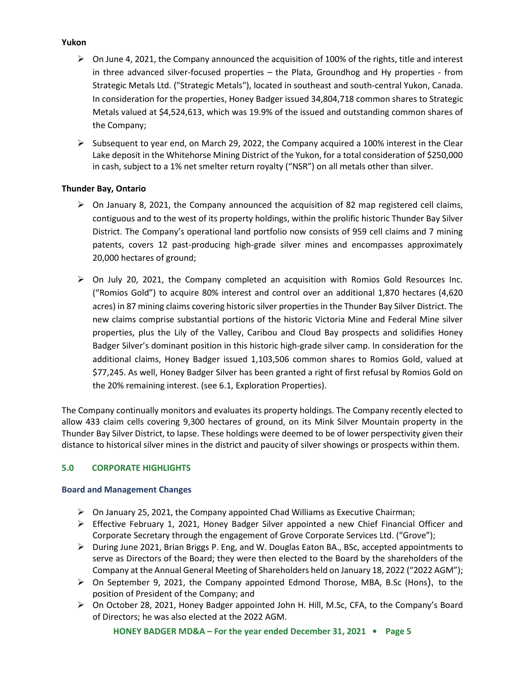### **Yukon**

- $\triangleright$  On June 4, 2021, the Company announced the acquisition of 100% of the rights, title and interest in three advanced silver-focused properties – the Plata, Groundhog and Hy properties - from Strategic Metals Ltd. ("Strategic Metals"), located in southeast and south-central Yukon, Canada. In consideration for the properties, Honey Badger issued 34,804,718 common shares to Strategic Metals valued at \$4,524,613, which was 19.9% of the issued and outstanding common shares of the Company;
- $\triangleright$  Subsequent to year end, on March 29, 2022, the Company acquired a 100% interest in the Clear Lake deposit in the Whitehorse Mining District of the Yukon, for a total consideration of \$250,000 in cash, subject to a 1% net smelter return royalty ("NSR") on all metals other than silver.

# **Thunder Bay, Ontario**

- $\triangleright$  On January 8, 2021, the Company announced the acquisition of 82 map registered cell claims, contiguous and to the west of its property holdings, within the prolific historic Thunder Bay Silver District. The Company's operational land portfolio now consists of 959 cell claims and 7 mining patents, covers 12 past-producing high-grade silver mines and encompasses approximately 20,000 hectares of ground;
- $\triangleright$  On July 20, 2021, the Company completed an acquisition with Romios Gold Resources Inc. ("Romios Gold") to acquire 80% interest and control over an additional 1,870 hectares (4,620 acres) in 87 mining claims covering historic silver properties in the Thunder Bay Silver District. The new claims comprise substantial portions of the historic Victoria Mine and Federal Mine silver properties, plus the Lily of the Valley, Caribou and Cloud Bay prospects and solidifies Honey Badger Silver's dominant position in this historic high-grade silver camp. In consideration for the additional claims, Honey Badger issued 1,103,506 common shares to Romios Gold, valued at \$77,245. As well, Honey Badger Silver has been granted a right of first refusal by Romios Gold on the 20% remaining interest. (see 6.1, Exploration Properties).

The Company continually monitors and evaluates its property holdings. The Company recently elected to allow 433 claim cells covering 9,300 hectares of ground, on its Mink Silver Mountain property in the Thunder Bay Silver District, to lapse. These holdings were deemed to be of lower perspectivity given their distance to historical silver mines in the district and paucity of silver showings or prospects within them.

# **5.0 CORPORATE HIGHLIGHTS**

### **Board and Management Changes**

- $\triangleright$  On January 25, 2021, the Company appointed Chad Williams as Executive Chairman;
- ➢ Effective February 1, 2021, Honey Badger Silver appointed a new Chief Financial Officer and Corporate Secretary through the engagement of Grove Corporate Services Ltd. ("Grove");
- ➢ During June 2021, Brian Briggs P. Eng, and W. Douglas Eaton BA., BSc, accepted appointments to serve as Directors of the Board; they were then elected to the Board by the shareholders of the Company at the Annual General Meeting of Shareholders held on January 18, 2022 ("2022 AGM");
- $\triangleright$  On September 9, 2021, the Company appointed Edmond Thorose, MBA, B.Sc (Hons), to the position of President of the Company; and
- ➢ On October 28, 2021, Honey Badger appointed John H. Hill, M.Sc, CFA, to the Company's Board of Directors; he was also elected at the 2022 AGM.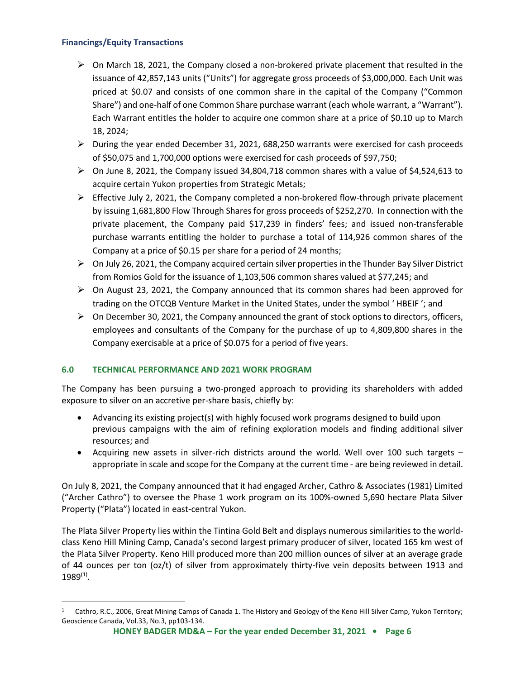### **Financings/Equity Transactions**

- $\triangleright$  On March 18, 2021, the Company closed a non-brokered private placement that resulted in the issuance of 42,857,143 units ("Units") for aggregate gross proceeds of \$3,000,000. Each Unit was priced at \$0.07 and consists of one common share in the capital of the Company ("Common Share") and one-half of one Common Share purchase warrant (each whole warrant, a "Warrant"). Each Warrant entitles the holder to acquire one common share at a price of \$0.10 up to March 18, 2024;
- $\triangleright$  During the year ended December 31, 2021, 688,250 warrants were exercised for cash proceeds of \$50,075 and 1,700,000 options were exercised for cash proceeds of \$97,750;
- $\triangleright$  On June 8, 2021, the Company issued 34,804,718 common shares with a value of \$4,524,613 to acquire certain Yukon properties from Strategic Metals;
- ➢ Effective July 2, 2021, the Company completed a non-brokered flow-through private placement by issuing 1,681,800 Flow Through Shares for gross proceeds of \$252,270. In connection with the private placement, the Company paid \$17,239 in finders' fees; and issued non-transferable purchase warrants entitling the holder to purchase a total of 114,926 common shares of the Company at a price of \$0.15 per share for a period of 24 months;
- $\triangleright$  On July 26, 2021, the Company acquired certain silver properties in the Thunder Bay Silver District from Romios Gold for the issuance of 1,103,506 common shares valued at \$77,245; and
- $\triangleright$  On August 23, 2021, the Company announced that its common shares had been approved for trading on the OTCQB Venture Market in the United States, under the symbol ' HBEIF '; and
- $\triangleright$  On December 30, 2021, the Company announced the grant of stock options to directors, officers, employees and consultants of the Company for the purchase of up to 4,809,800 shares in the Company exercisable at a price of \$0.075 for a period of five years.

# **6.0 TECHNICAL PERFORMANCE AND 2021 WORK PROGRAM**

The Company has been pursuing a two-pronged approach to providing its shareholders with added exposure to silver on an accretive per-share basis, chiefly by:

- Advancing its existing project(s) with highly focused work programs designed to build upon previous campaigns with the aim of refining exploration models and finding additional silver resources; and
- Acquiring new assets in silver-rich districts around the world. Well over 100 such targets appropriate in scale and scope for the Company at the current time - are being reviewed in detail.

On July 8, 2021, the Company announced that it had engaged Archer, Cathro & Associates (1981) Limited ("Archer Cathro") to oversee the Phase 1 work program on its 100%-owned 5,690 hectare Plata Silver Property ("Plata") located in east-central Yukon.

The Plata Silver Property lies within the Tintina Gold Belt and displays numerous similarities to the worldclass Keno Hill Mining Camp, Canada's second largest primary producer of silver, located 165 km west of the Plata Silver Property. Keno Hill produced more than 200 million ounces of silver at an average grade of 44 ounces per ton (oz/t) of silver from approximately thirty-five vein deposits between 1913 and  $1989^{(1)}$ .

<sup>&</sup>lt;sup>1</sup> Cathro, R.C., 2006, Great Mining Camps of Canada 1. The History and Geology of the Keno Hill Silver Camp, Yukon Territory; Geoscience Canada, Vol.33, No.3, pp103-134.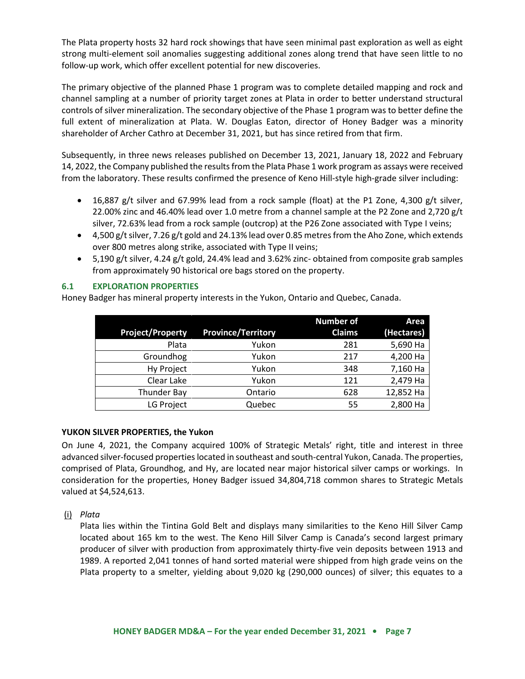The Plata property hosts 32 hard rock showings that have seen minimal past exploration as well as eight strong multi-element soil anomalies suggesting additional zones along trend that have seen little to no follow-up work, which offer excellent potential for new discoveries.

The primary objective of the planned Phase 1 program was to complete detailed mapping and rock and channel sampling at a number of priority target zones at Plata in order to better understand structural controls of silver mineralization. The secondary objective of the Phase 1 program was to better define the full extent of mineralization at Plata. W. Douglas Eaton, director of Honey Badger was a minority shareholder of Archer Cathro at December 31, 2021, but has since retired from that firm.

Subsequently, in three news releases published on December 13, 2021, January 18, 2022 and February 14, 2022, the Company published the results from the Plata Phase 1 work program as assays were received from the laboratory. These results confirmed the presence of Keno Hill-style high-grade silver including:

- 16,887 g/t silver and 67.99% lead from a rock sample (float) at the P1 Zone, 4,300 g/t silver, 22.00% zinc and 46.40% lead over 1.0 metre from a channel sample at the P2 Zone and 2,720 g/t silver, 72.63% lead from a rock sample (outcrop) at the P26 Zone associated with Type I veins;
- 4,500 g/t silver, 7.26 g/t gold and 24.13% lead over 0.85 metres from the Aho Zone, which extends over 800 metres along strike, associated with Type II veins;
- 5,190 g/t silver, 4.24 g/t gold, 24.4% lead and 3.62% zinc- obtained from composite grab samples from approximately 90 historical ore bags stored on the property.

# **6.1 EXPLORATION PROPERTIES**

Honey Badger has mineral property interests in the Yukon, Ontario and Quebec, Canada.

|                         |                           | <b>Number of</b> | Area       |
|-------------------------|---------------------------|------------------|------------|
| <b>Project/Property</b> | <b>Province/Territory</b> | <b>Claims</b>    | (Hectares) |
| Plata                   | Yukon                     | 281              | 5,690 Ha   |
| Groundhog               | Yukon                     | 217              | 4,200 Ha   |
| <b>Hy Project</b>       | Yukon                     | 348              | 7,160 Ha   |
| Clear Lake              | Yukon                     | 121              | 2,479 Ha   |
| Thunder Bay             | Ontario                   | 628              | 12,852 Ha  |
| <b>LG Project</b>       | Quebec                    | 55               | 2,800 Ha   |

### **YUKON SILVER PROPERTIES, the Yukon**

On June 4, 2021, the Company acquired 100% of Strategic Metals' right, title and interest in three advanced silver-focused properties located in southeast and south-central Yukon, Canada. The properties, comprised of Plata, Groundhog, and Hy, are located near major historical silver camps or workings. In consideration for the properties, Honey Badger issued 34,804,718 common shares to Strategic Metals valued at \$4,524,613.

(i) *Plata*

Plata lies within the Tintina Gold Belt and displays many similarities to the Keno Hill Silver Camp located about 165 km to the west. The Keno Hill Silver Camp is Canada's second largest primary producer of silver with production from approximately thirty-five vein deposits between 1913 and 1989. A reported 2,041 tonnes of hand sorted material were shipped from high grade veins on the Plata property to a smelter, yielding about 9,020 kg (290,000 ounces) of silver; this equates to a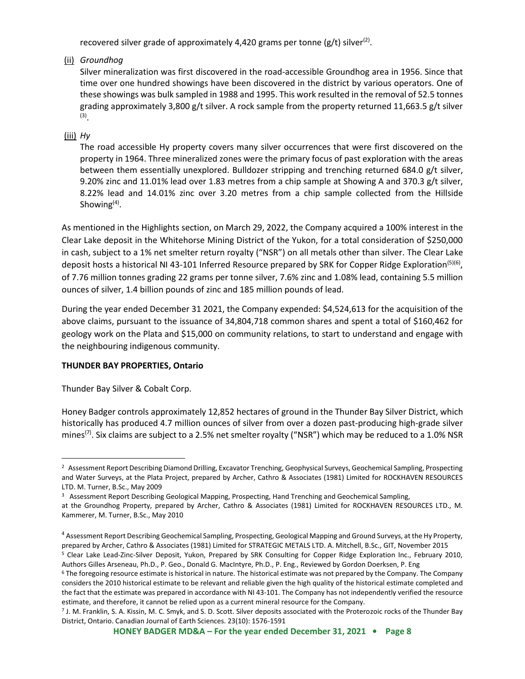recovered silver grade of approximately 4,420 grams per tonne (g/t) silver<sup>(2)</sup>.

(ii) *Groundhog*

Silver mineralization was first discovered in the road-accessible Groundhog area in 1956. Since that time over one hundred showings have been discovered in the district by various operators. One of these showings was bulk sampled in 1988 and 1995. This work resulted in the removal of 52.5 tonnes grading approximately 3,800 g/t silver. A rock sample from the property returned 11,663.5 g/t silver (3) .

# (iii) *Hy*

The road accessible Hy property covers many silver occurrences that were first discovered on the property in 1964. Three mineralized zones were the primary focus of past exploration with the areas between them essentially unexplored. Bulldozer stripping and trenching returned 684.0 g/t silver, 9.20% zinc and 11.01% lead over 1.83 metres from a chip sample at Showing A and 370.3 g/t silver, 8.22% lead and 14.01% zinc over 3.20 metres from a chip sample collected from the Hillside Showing $^{(4)}$ .

As mentioned in the Highlights section, on March 29, 2022, the Company acquired a 100% interest in the Clear Lake deposit in the Whitehorse Mining District of the Yukon, for a total consideration of \$250,000 in cash, subject to a 1% net smelter return royalty ("NSR") on all metals other than silver. The Clear Lake deposit hosts a historical NI 43-101 Inferred Resource prepared by SRK for Copper Ridge Exploration<sup>(5)(6)</sup>, of 7.76 million tonnes grading 22 grams per tonne silver, 7.6% zinc and 1.08% lead, containing 5.5 million ounces of silver, 1.4 billion pounds of zinc and 185 million pounds of lead.

During the year ended December 31 2021, the Company expended: \$4,524,613 for the acquisition of the above claims, pursuant to the issuance of 34,804,718 common shares and spent a total of \$160,462 for geology work on the Plata and \$15,000 on community relations, to start to understand and engage with the neighbouring indigenous community.

### **THUNDER BAY PROPERTIES, Ontario**

Thunder Bay Silver & Cobalt Corp.

Honey Badger controls approximately 12,852 hectares of ground in the Thunder Bay Silver District, which historically has produced 4.7 million ounces of silver from over a dozen past-producing high-grade silver mines<sup>(7)</sup>. Six claims are subject to a 2.5% net smelter royalty ("NSR") which may be reduced to a 1.0% NSR

<sup>&</sup>lt;sup>2</sup> Assessment Report Describing Diamond Drilling, Excavator Trenching, Geophysical Surveys, Geochemical Sampling, Prospecting and Water Surveys, at the Plata Project, prepared by Archer, Cathro & Associates (1981) Limited for ROCKHAVEN RESOURCES LTD. M. Turner, B.Sc., May 2009

<sup>&</sup>lt;sup>3</sup> Assessment Report Describing Geological Mapping, Prospecting, Hand Trenching and Geochemical Sampling,

at the Groundhog Property, prepared by Archer, Cathro & Associates (1981) Limited for ROCKHAVEN RESOURCES LTD., M. Kammerer, M. Turner, B.Sc., May 2010

<sup>4</sup> Assessment Report Describing Geochemical Sampling, Prospecting, Geological Mapping and Ground Surveys, at the Hy Property, prepared by Archer, Cathro & Associates (1981) Limited for STRATEGIC METALS LTD. A. Mitchell, B.Sc., GIT, November 2015

<sup>5</sup> Clear Lake Lead-Zinc-Silver Deposit, Yukon, Prepared by SRK Consulting for Copper Ridge Exploration Inc., February 2010, Authors Gilles Arseneau, Ph.D., P. Geo., Donald G. MacIntyre, Ph.D., P. Eng., Reviewed by Gordon Doerksen, P. Eng

<sup>6</sup> The foregoing resource estimate is historical in nature. The historical estimate was not prepared by the Company. The Company considers the 2010 historical estimate to be relevant and reliable given the high quality of the historical estimate completed and the fact that the estimate was prepared in accordance with NI 43-101. The Company has not independently verified the resource estimate, and therefore, it cannot be relied upon as a current mineral resource for the Company.

<sup>7</sup> J. M. Franklin, S. A. Kissin, M. C. Smyk, and S. D. Scott. Silver deposits associated with the Proterozoic rocks of the Thunder Bay District, Ontario. Canadian Journal of Earth Sciences. 23(10): 1576-1591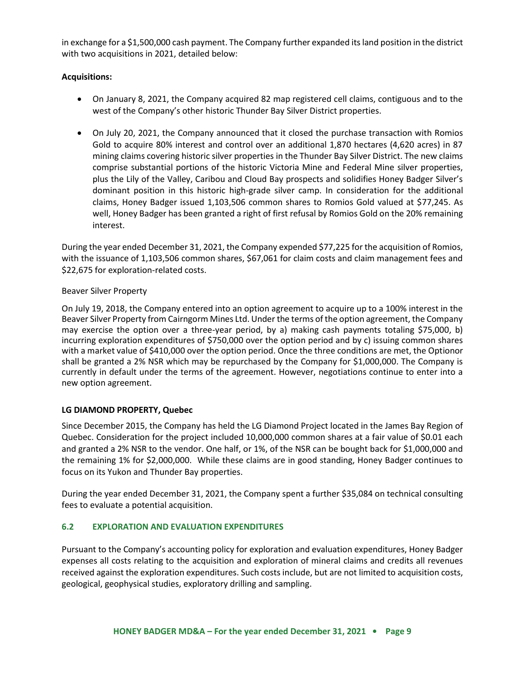in exchange for a \$1,500,000 cash payment. The Company further expanded its land position in the district with two acquisitions in 2021, detailed below:

### **Acquisitions:**

- On January 8, 2021, the Company acquired 82 map registered cell claims, contiguous and to the west of the Company's other historic Thunder Bay Silver District properties.
- On July 20, 2021, the Company announced that it closed the purchase transaction with Romios Gold to acquire 80% interest and control over an additional 1,870 hectares (4,620 acres) in 87 mining claims covering historic silver properties in the Thunder Bay Silver District. The new claims comprise substantial portions of the historic Victoria Mine and Federal Mine silver properties, plus the Lily of the Valley, Caribou and Cloud Bay prospects and solidifies Honey Badger Silver's dominant position in this historic high-grade silver camp. In consideration for the additional claims, Honey Badger issued 1,103,506 common shares to Romios Gold valued at \$77,245. As well, Honey Badger has been granted a right of first refusal by Romios Gold on the 20% remaining interest.

During the year ended December 31, 2021, the Company expended \$77,225 for the acquisition of Romios, with the issuance of 1,103,506 common shares, \$67,061 for claim costs and claim management fees and \$22,675 for exploration-related costs.

### Beaver Silver Property

On July 19, 2018, the Company entered into an option agreement to acquire up to a 100% interest in the Beaver Silver Property from Cairngorm Mines Ltd. Under the terms of the option agreement, the Company may exercise the option over a three-year period, by a) making cash payments totaling \$75,000, b) incurring exploration expenditures of \$750,000 over the option period and by c) issuing common shares with a market value of \$410,000 over the option period. Once the three conditions are met, the Optionor shall be granted a 2% NSR which may be repurchased by the Company for \$1,000,000. The Company is currently in default under the terms of the agreement. However, negotiations continue to enter into a new option agreement.

### **LG DIAMOND PROPERTY, Quebec**

Since December 2015, the Company has held the LG Diamond Project located in the James Bay Region of Quebec. Consideration for the project included 10,000,000 common shares at a fair value of \$0.01 each and granted a 2% NSR to the vendor. One half, or 1%, of the NSR can be bought back for \$1,000,000 and the remaining 1% for \$2,000,000. While these claims are in good standing, Honey Badger continues to focus on its Yukon and Thunder Bay properties.

During the year ended December 31, 2021, the Company spent a further \$35,084 on technical consulting fees to evaluate a potential acquisition.

### **6.2 EXPLORATION AND EVALUATION EXPENDITURES**

Pursuant to the Company's accounting policy for exploration and evaluation expenditures, Honey Badger expenses all costs relating to the acquisition and exploration of mineral claims and credits all revenues received against the exploration expenditures. Such costs include, but are not limited to acquisition costs, geological, geophysical studies, exploratory drilling and sampling.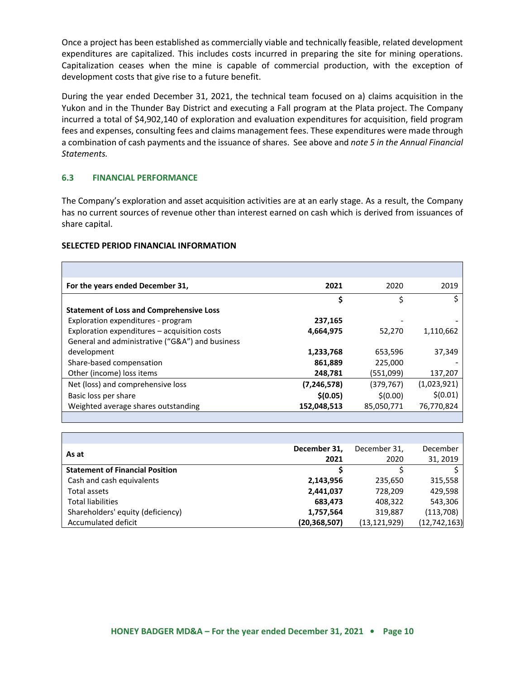Once a project has been established as commercially viable and technically feasible, related development expenditures are capitalized. This includes costs incurred in preparing the site for mining operations. Capitalization ceases when the mine is capable of commercial production, with the exception of development costs that give rise to a future benefit.

During the year ended December 31, 2021, the technical team focused on a) claims acquisition in the Yukon and in the Thunder Bay District and executing a Fall program at the Plata project. The Company incurred a total of \$4,902,140 of exploration and evaluation expenditures for acquisition, field program fees and expenses, consulting fees and claims management fees. These expenditures were made through a combination of cash payments and the issuance of shares. See above and *note 5 in the Annual Financial Statements.* 

### **6.3 FINANCIAL PERFORMANCE**

The Company's exploration and asset acquisition activities are at an early stage. As a result, the Company has no current sources of revenue other than interest earned on cash which is derived from issuances of share capital.

### **SELECTED PERIOD FINANCIAL INFORMATION**

| For the years ended December 31,                | 2021          | 2020       | 2019        |
|-------------------------------------------------|---------------|------------|-------------|
|                                                 | \$            | \$         |             |
| <b>Statement of Loss and Comprehensive Loss</b> |               |            |             |
| Exploration expenditures - program              | 237,165       |            |             |
| Exploration expenditures - acquisition costs    | 4,664,975     | 52,270     | 1,110,662   |
| General and administrative ("G&A") and business |               |            |             |
| development                                     | 1,233,768     | 653,596    | 37,349      |
| Share-based compensation                        | 861,889       | 225,000    |             |
| Other (income) loss items                       | 248,781       | (551,099)  | 137,207     |
| Net (loss) and comprehensive loss               | (7, 246, 578) | (379, 767) | (1,023,921) |
| Basic loss per share                            | \$(0.05)      | \$(0.00)   | \$(0.01)    |
| Weighted average shares outstanding             | 152,048,513   | 85,050,771 | 76,770,824  |
|                                                 |               |            |             |

| As at                                  | December 31,   | December 31,   | December       |
|----------------------------------------|----------------|----------------|----------------|
|                                        | 2021           | 2020           | 31, 2019       |
| <b>Statement of Financial Position</b> |                |                |                |
| Cash and cash equivalents              | 2,143,956      | 235,650        | 315,558        |
| Total assets                           | 2,441,037      | 728,209        | 429,598        |
| <b>Total liabilities</b>               | 683,473        | 408,322        | 543,306        |
| Shareholders' equity (deficiency)      | 1,757,564      | 319,887        | (113, 708)     |
| Accumulated deficit                    | (20, 368, 507) | (13, 121, 929) | (12, 742, 163) |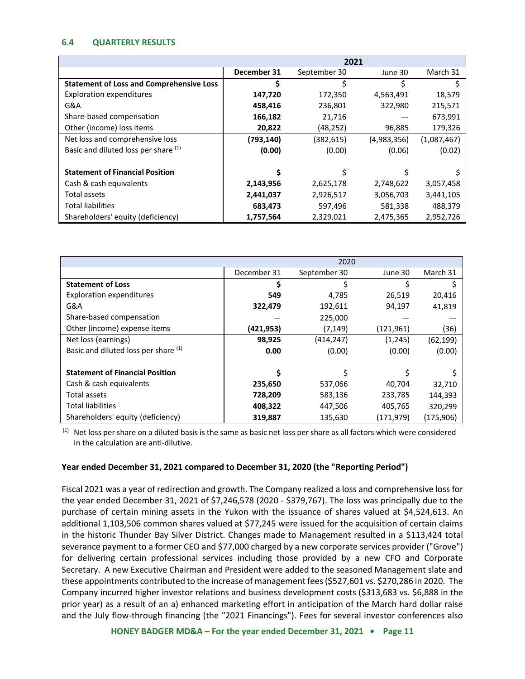#### **6.4 QUARTERLY RESULTS**

|                                                 |             | 2021         |             |             |
|-------------------------------------------------|-------------|--------------|-------------|-------------|
|                                                 | December 31 | September 30 | June 30     | March 31    |
| <b>Statement of Loss and Comprehensive Loss</b> | \$          | \$           |             |             |
| <b>Exploration expenditures</b>                 | 147,720     | 172,350      | 4,563,491   | 18,579      |
| G&A                                             | 458,416     | 236,801      | 322,980     | 215,571     |
| Share-based compensation                        | 166,182     | 21,716       |             | 673,991     |
| Other (income) loss items                       | 20,822      | (48, 252)    | 96,885      | 179,326     |
| Net loss and comprehensive loss                 | (793, 140)  | (382,615)    | (4,983,356) | (1,087,467) |
| Basic and diluted loss per share (1)            | (0.00)      | (0.00)       | (0.06)      | (0.02)      |
| <b>Statement of Financial Position</b>          | \$          | \$           | \$          |             |
| Cash & cash equivalents                         | 2,143,956   | 2,625,178    | 2,748,622   | 3,057,458   |
| Total assets                                    | 2,441,037   | 2,926,517    | 3,056,703   | 3,441,105   |
| <b>Total liabilities</b>                        | 683,473     | 597,496      | 581,338     | 488,379     |
| Shareholders' equity (deficiency)               | 1,757,564   | 2,329,021    | 2,475,365   | 2,952,726   |

|                                        |             | 2020         |            |           |
|----------------------------------------|-------------|--------------|------------|-----------|
|                                        | December 31 | September 30 | June 30    | March 31  |
| <b>Statement of Loss</b>               | \$          |              | \$         |           |
| <b>Exploration expenditures</b>        | 549         | 4,785        | 26,519     | 20,416    |
| G&A                                    | 322,479     | 192,611      | 94,197     | 41,819    |
| Share-based compensation               |             | 225,000      |            |           |
| Other (income) expense items           | (421, 953)  | (7, 149)     | (121, 961) | (36)      |
| Net loss (earnings)                    | 98,925      | (414, 247)   | (1, 245)   | (62, 199) |
| Basic and diluted loss per share (1)   | 0.00        | (0.00)       | (0.00)     | (0.00)    |
| <b>Statement of Financial Position</b> | Ś           |              | \$         |           |
| Cash & cash equivalents                | 235,650     | 537,066      | 40,704     | 32,710    |
| Total assets                           | 728,209     | 583,136      | 233,785    | 144,393   |
| <b>Total liabilities</b>               | 408,322     | 447,506      | 405,765    | 320,299   |
| Shareholders' equity (deficiency)      | 319,887     | 135,630      | (171, 979) | (175,906) |

 $(1)$  Net loss per share on a diluted basis is the same as basic net loss per share as all factors which were considered in the calculation are anti-dilutive.

#### **Year ended December 31, 2021 compared to December 31, 2020 (the "Reporting Period")**

Fiscal 2021 was a year of redirection and growth. The Company realized a loss and comprehensive loss for the year ended December 31, 2021 of \$7,246,578 (2020 - \$379,767). The loss was principally due to the purchase of certain mining assets in the Yukon with the issuance of shares valued at \$4,524,613. An additional 1,103,506 common shares valued at \$77,245 were issued for the acquisition of certain claims in the historic Thunder Bay Silver District. Changes made to Management resulted in a \$113,424 total severance payment to a former CEO and \$77,000 charged by a new corporate services provider ("Grove") for delivering certain professional services including those provided by a new CFO and Corporate Secretary. A new Executive Chairman and President were added to the seasoned Management slate and these appointments contributed to the increase of management fees (\$527,601 vs. \$270,286 in 2020. The Company incurred higher investor relations and business development costs (\$313,683 vs. \$6,888 in the prior year) as a result of an a) enhanced marketing effort in anticipation of the March hard dollar raise and the July flow-through financing (the "2021 Financings"). Fees for several investor conferences also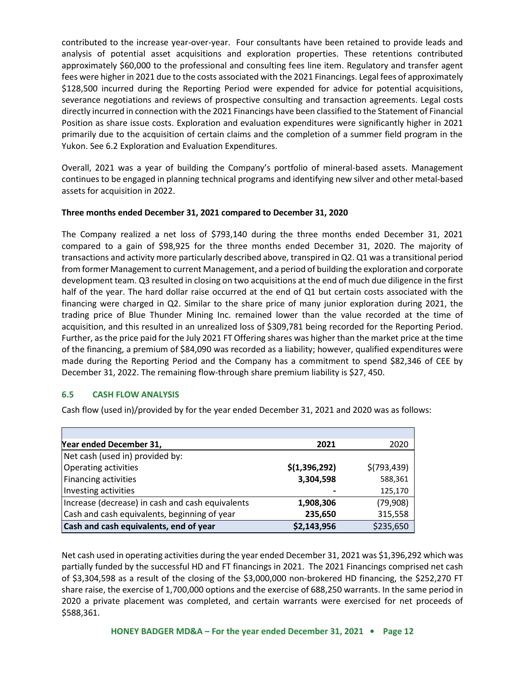contributed to the increase year-over-year. Four consultants have been retained to provide leads and analysis of potential asset acquisitions and exploration properties. These retentions contributed approximately \$60,000 to the professional and consulting fees line item. Regulatory and transfer agent fees were higher in 2021 due to the costs associated with the 2021 Financings. Legal fees of approximately \$128,500 incurred during the Reporting Period were expended for advice for potential acquisitions, severance negotiations and reviews of prospective consulting and transaction agreements. Legal costs directly incurred in connection with the 2021 Financings have been classified to the Statement of Financial Position as share issue costs. Exploration and evaluation expenditures were significantly higher in 2021 primarily due to the acquisition of certain claims and the completion of a summer field program in the Yukon. See 6.2 Exploration and Evaluation Expenditures.

Overall, 2021 was a year of building the Company's portfolio of mineral-based assets. Management continues to be engaged in planning technical programs and identifying new silver and other metal-based assets for acquisition in 2022.

### **Three months ended December 31, 2021 compared to December 31, 2020**

The Company realized a net loss of \$793,140 during the three months ended December 31, 2021 compared to a gain of \$98,925 for the three months ended December 31, 2020. The majority of transactions and activity more particularly described above, transpired in Q2. Q1 was a transitional period from former Management to current Management, and a period of building the exploration and corporate development team. Q3 resulted in closing on two acquisitions at the end of much due diligence in the first half of the year. The hard dollar raise occurred at the end of Q1 but certain costs associated with the financing were charged in Q2. Similar to the share price of many junior exploration during 2021, the trading price of Blue Thunder Mining Inc. remained lower than the value recorded at the time of acquisition, and this resulted in an unrealized loss of \$309,781 being recorded for the Reporting Period. Further, as the price paid for the July 2021 FT Offering shares was higher than the market price at the time of the financing, a premium of \$84,090 was recorded as a liability; however, qualified expenditures were made during the Reporting Period and the Company has a commitment to spend \$82,346 of CEE by December 31, 2022. The remaining flow-through share premium liability is \$27, 450.

### **6.5 CASH FLOW ANALYSIS**

Cash flow (used in)/provided by for the year ended December 31, 2021 and 2020 was as follows:

| Year ended December 31,                          | 2021          | 2020         |
|--------------------------------------------------|---------------|--------------|
| Net cash (used in) provided by:                  |               |              |
| <b>Operating activities</b>                      | \$(1,396,292) | \$(793, 439) |
| <b>Financing activities</b>                      | 3,304,598     | 588,361      |
| Investing activities                             |               | 125,170      |
| Increase (decrease) in cash and cash equivalents | 1,908,306     | (79, 908)    |
| Cash and cash equivalents, beginning of year     | 235,650       | 315,558      |
| Cash and cash equivalents, end of year           | \$2,143,956   | \$235,650    |

Net cash used in operating activities during the year ended December 31, 2021 was \$1,396,292 which was partially funded by the successful HD and FT financings in 2021. The 2021 Financings comprised net cash of \$3,304,598 as a result of the closing of the \$3,000,000 non-brokered HD financing, the \$252,270 FT share raise, the exercise of 1,700,000 options and the exercise of 688,250 warrants. In the same period in 2020 a private placement was completed, and certain warrants were exercised for net proceeds of \$588,361.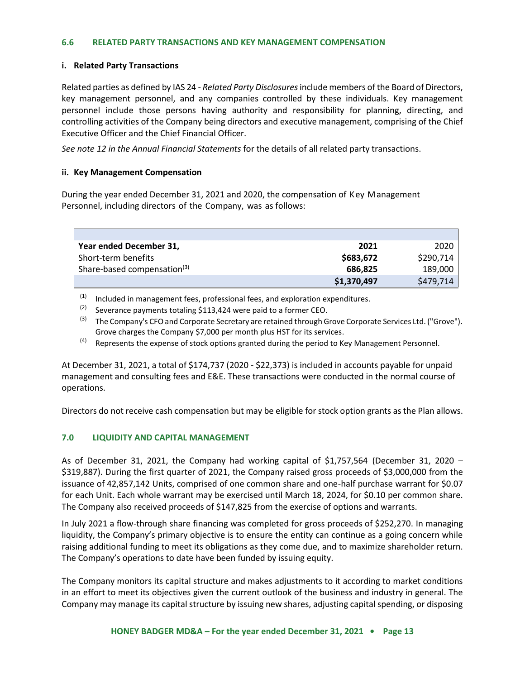#### **6.6 RELATED PARTY TRANSACTIONS AND KEY MANAGEMENT COMPENSATION**

#### **i. Related Party Transactions**

Related parties as defined by IAS 24 - *Related Party Disclosures*include members of the Board of Directors, key management personnel, and any companies controlled by these individuals. Key management personnel include those persons having authority and responsibility for planning, directing, and controlling activities of the Company being directors and executive management, comprising of the Chief Executive Officer and the Chief Financial Officer.

*See note 12 in the Annual Financial Statements* for the details of all related party transactions.

#### **ii. Key Management Compensation**

During the year ended December 31, 2021 and 2020, the compensation of Key Management Personnel, including directors of the Company, was as follows:

| Year ended December 31,                 | 2021        | 2020      |
|-----------------------------------------|-------------|-----------|
| Short-term benefits                     | \$683,672   | \$290,714 |
| Share-based compensation <sup>(3)</sup> | 686.825     | 189,000   |
|                                         | \$1,370,497 | \$479,714 |

 $(1)$  Included in management fees, professional fees, and exploration expenditures.

- $(2)$  Severance payments totaling \$113,424 were paid to a former CEO.
- <sup>(3)</sup> The Company's CFO and Corporate Secretary are retained through Grove Corporate Services Ltd. ("Grove"). Grove charges the Company \$7,000 per month plus HST for its services.
- <sup>(4)</sup> Represents the expense of stock options granted during the period to Key Management Personnel.

At December 31, 2021, a total of \$174,737 (2020 - \$22,373) is included in accounts payable for unpaid management and consulting fees and E&E. These transactions were conducted in the normal course of operations.

Directors do not receive cash compensation but may be eligible for stock option grants as the Plan allows.

### **7.0 LIQUIDITY AND CAPITAL MANAGEMENT**

As of December 31, 2021, the Company had working capital of  $$1,757,564$  (December 31, 2020 – \$319,887). During the first quarter of 2021, the Company raised gross proceeds of \$3,000,000 from the issuance of 42,857,142 Units, comprised of one common share and one-half purchase warrant for \$0.07 for each Unit. Each whole warrant may be exercised until March 18, 2024, for \$0.10 per common share. The Company also received proceeds of \$147,825 from the exercise of options and warrants.

In July 2021 a flow-through share financing was completed for gross proceeds of \$252,270. In managing liquidity, the Company's primary objective is to ensure the entity can continue as a going concern while raising additional funding to meet its obligations as they come due, and to maximize shareholder return. The Company's operations to date have been funded by issuing equity.

The Company monitors its capital structure and makes adjustments to it according to market conditions in an effort to meet its objectives given the current outlook of the business and industry in general. The Company may manage its capital structure by issuing new shares, adjusting capital spending, or disposing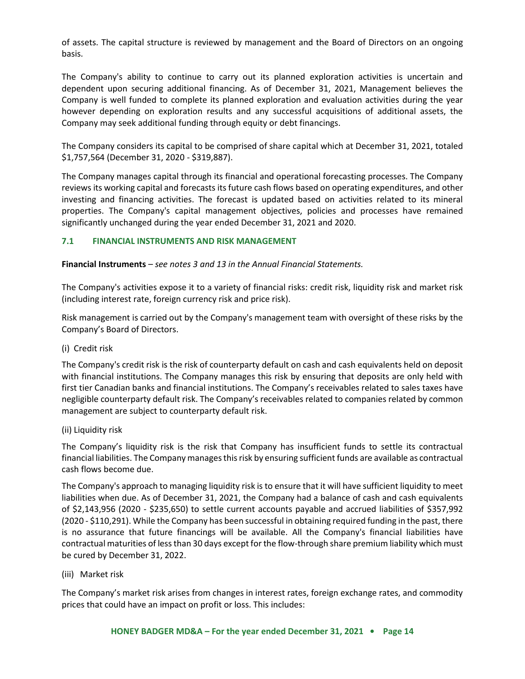of assets. The capital structure is reviewed by management and the Board of Directors on an ongoing basis.

The Company's ability to continue to carry out its planned exploration activities is uncertain and dependent upon securing additional financing. As of December 31, 2021, Management believes the Company is well funded to complete its planned exploration and evaluation activities during the year however depending on exploration results and any successful acquisitions of additional assets, the Company may seek additional funding through equity or debt financings.

The Company considers its capital to be comprised of share capital which at December 31, 2021, totaled \$1,757,564 (December 31, 2020 - \$319,887).

The Company manages capital through its financial and operational forecasting processes. The Company reviews its working capital and forecasts its future cash flows based on operating expenditures, and other investing and financing activities. The forecast is updated based on activities related to its mineral properties. The Company's capital management objectives, policies and processes have remained significantly unchanged during the year ended December 31, 2021 and 2020.

### **7.1 FINANCIAL INSTRUMENTS AND RISK MANAGEMENT**

#### **Financial Instruments** – *see notes 3 and 13 in the Annual Financial Statements.*

The Company's activities expose it to a variety of financial risks: credit risk, liquidity risk and market risk (including interest rate, foreign currency risk and price risk).

Risk management is carried out by the Company's management team with oversight of these risks by the Company's Board of Directors.

(i) Credit risk

The Company's credit risk is the risk of counterparty default on cash and cash equivalents held on deposit with financial institutions. The Company manages this risk by ensuring that deposits are only held with first tier Canadian banks and financial institutions. The Company's receivables related to sales taxes have negligible counterparty default risk. The Company's receivables related to companies related by common management are subject to counterparty default risk.

(ii) Liquidity risk

The Company's liquidity risk is the risk that Company has insufficient funds to settle its contractual financial liabilities. The Company manages this risk by ensuring sufficient funds are available as contractual cash flows become due.

The Company's approach to managing liquidity risk is to ensure that it will have sufficient liquidity to meet liabilities when due. As of December 31, 2021, the Company had a balance of cash and cash equivalents of \$2,143,956 (2020 - \$235,650) to settle current accounts payable and accrued liabilities of \$357,992 (2020 - \$110,291). While the Company has been successful in obtaining required funding in the past, there is no assurance that future financings will be available. All the Company's financial liabilities have contractual maturities of less than 30 days except for the flow-through share premium liability which must be cured by December 31, 2022.

(iii) Market risk

The Company's market risk arises from changes in interest rates, foreign exchange rates, and commodity prices that could have an impact on profit or loss. This includes: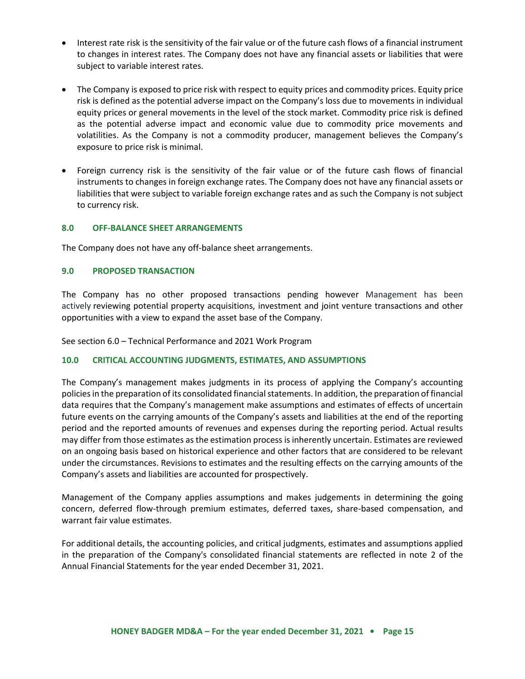- Interest rate risk is the sensitivity of the fair value or of the future cash flows of a financial instrument to changes in interest rates. The Company does not have any financial assets or liabilities that were subject to variable interest rates.
- The Company is exposed to price risk with respect to equity prices and commodity prices. Equity price risk is defined as the potential adverse impact on the Company's loss due to movements in individual equity prices or general movements in the level of the stock market. Commodity price risk is defined as the potential adverse impact and economic value due to commodity price movements and volatilities. As the Company is not a commodity producer, management believes the Company's exposure to price risk is minimal.
- Foreign currency risk is the sensitivity of the fair value or of the future cash flows of financial instruments to changes in foreign exchange rates. The Company does not have any financial assets or liabilities that were subject to variable foreign exchange rates and as such the Company is not subject to currency risk.

#### **8.0 OFF-BALANCE SHEET ARRANGEMENTS**

The Company does not have any off-balance sheet arrangements.

#### **9.0 PROPOSED TRANSACTION**

The Company has no other proposed transactions pending however Management has been actively reviewing potential property acquisitions, investment and joint venture transactions and other opportunities with a view to expand the asset base of the Company.

See section 6.0 – Technical Performance and 2021 Work Program

### **10.0 CRITICAL ACCOUNTING JUDGMENTS, ESTIMATES, AND ASSUMPTIONS**

The Company's management makes judgments in its process of applying the Company's accounting policies in the preparation of its consolidated financial statements. In addition, the preparation of financial data requires that the Company's management make assumptions and estimates of effects of uncertain future events on the carrying amounts of the Company's assets and liabilities at the end of the reporting period and the reported amounts of revenues and expenses during the reporting period. Actual results may differ from those estimates as the estimation process is inherently uncertain. Estimates are reviewed on an ongoing basis based on historical experience and other factors that are considered to be relevant under the circumstances. Revisions to estimates and the resulting effects on the carrying amounts of the Company's assets and liabilities are accounted for prospectively.

Management of the Company applies assumptions and makes judgements in determining the going concern, deferred flow-through premium estimates, deferred taxes, share-based compensation, and warrant fair value estimates.

For additional details, the accounting policies, and critical judgments, estimates and assumptions applied in the preparation of the Company's consolidated financial statements are reflected in note 2 of the Annual Financial Statements for the year ended December 31, 2021.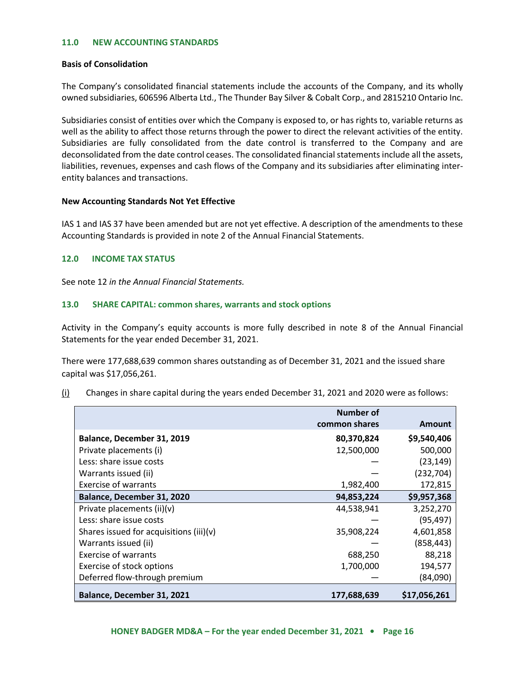#### **11.0 NEW ACCOUNTING STANDARDS**

#### **Basis of Consolidation**

The Company's consolidated financial statements include the accounts of the Company, and its wholly owned subsidiaries, 606596 Alberta Ltd., The Thunder Bay Silver & Cobalt Corp., and 2815210 Ontario Inc.

Subsidiaries consist of entities over which the Company is exposed to, or has rights to, variable returns as well as the ability to affect those returns through the power to direct the relevant activities of the entity. Subsidiaries are fully consolidated from the date control is transferred to the Company and are deconsolidated from the date control ceases. The consolidated financial statements include all the assets, liabilities, revenues, expenses and cash flows of the Company and its subsidiaries after eliminating interentity balances and transactions.

#### **New Accounting Standards Not Yet Effective**

IAS 1 and IAS 37 have been amended but are not yet effective. A description of the amendments to these Accounting Standards is provided in note 2 of the Annual Financial Statements.

#### **12.0 INCOME TAX STATUS**

See note 12 *in the Annual Financial Statements.*

#### **13.0 SHARE CAPITAL: common shares, warrants and stock options**

Activity in the Company's equity accounts is more fully described in note 8 of the Annual Financial Statements for the year ended December 31, 2021.

There were 177,688,639 common shares outstanding as of December 31, 2021 and the issued share capital was \$17,056,261.

|                                           | Number of     |              |
|-------------------------------------------|---------------|--------------|
|                                           | common shares | Amount       |
| Balance, December 31, 2019                | 80,370,824    | \$9,540,406  |
| Private placements (i)                    | 12,500,000    | 500,000      |
| Less: share issue costs                   |               | (23, 149)    |
| Warrants issued (ii)                      |               | (232, 704)   |
| <b>Exercise of warrants</b>               | 1,982,400     | 172,815      |
| Balance, December 31, 2020                | 94,853,224    | \$9,957,368  |
| Private placements (ii)(v)                | 44,538,941    | 3,252,270    |
| Less: share issue costs                   |               | (95, 497)    |
| Shares issued for acquisitions $(iii)(v)$ | 35,908,224    | 4,601,858    |
| Warrants issued (ii)                      |               | (858, 443)   |
| Exercise of warrants                      | 688,250       | 88,218       |
| Exercise of stock options                 | 1,700,000     | 194,577      |
| Deferred flow-through premium             |               | (84,090)     |
| Balance, December 31, 2021                | 177,688,639   | \$17,056,261 |

(i) Changes in share capital during the years ended December 31, 2021 and 2020 were as follows: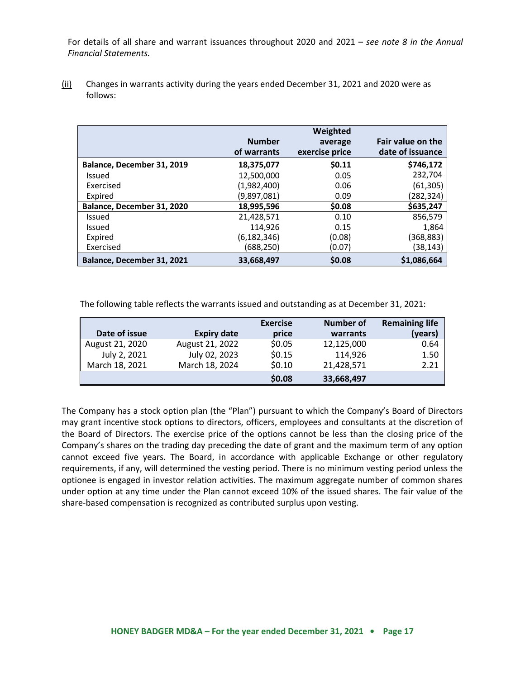For details of all share and warrant issuances throughout 2020 and 2021 – *see note 8 in the Annual Financial Statements.* 

|                            |               | Weighted       |                   |
|----------------------------|---------------|----------------|-------------------|
|                            | <b>Number</b> | average        | Fair value on the |
|                            | of warrants   | exercise price | date of issuance  |
| Balance, December 31, 2019 | 18,375,077    | \$0.11         | \$746.172         |
| Issued                     | 12,500,000    | 0.05           | 232,704           |
| Exercised                  | (1,982,400)   | 0.06           | (61, 305)         |
| Expired                    | (9,897,081)   | 0.09           | (282,324)         |
| Balance, December 31, 2020 | 18,995,596    | \$0.08         | \$635,247         |
| Issued                     | 21,428,571    | 0.10           | 856,579           |
| Issued                     | 114,926       | 0.15           | 1,864             |
| Expired                    | (6, 182, 346) | (0.08)         | (368,883)         |
| Exercised                  | (688,250)     | (0.07)         | (38, 143)         |
| Balance, December 31, 2021 | 33,668,497    | \$0.08         | \$1,086,664       |

(ii) Changes in warrants activity during the years ended December 31, 2021 and 2020 were as follows:

The following table reflects the warrants issued and outstanding as at December 31, 2021:

| Date of issue   | <b>Expiry date</b> | <b>Exercise</b><br>price | <b>Number of</b><br>warrants | <b>Remaining life</b><br>(years) |
|-----------------|--------------------|--------------------------|------------------------------|----------------------------------|
| August 21, 2020 | August 21, 2022    | \$0.05                   | 12,125,000                   | 0.64                             |
| July 2, 2021    | July 02, 2023      | \$0.15                   | 114,926                      | 1.50                             |
| March 18, 2021  | March 18, 2024     | \$0.10                   | 21,428,571                   | 2.21                             |
|                 |                    | \$0.08                   | 33,668,497                   |                                  |

The Company has a stock option plan (the "Plan") pursuant to which the Company's Board of Directors may grant incentive stock options to directors, officers, employees and consultants at the discretion of the Board of Directors. The exercise price of the options cannot be less than the closing price of the Company's shares on the trading day preceding the date of grant and the maximum term of any option cannot exceed five years. The Board, in accordance with applicable Exchange or other regulatory requirements, if any, will determined the vesting period. There is no minimum vesting period unless the optionee is engaged in investor relation activities. The maximum aggregate number of common shares under option at any time under the Plan cannot exceed 10% of the issued shares. The fair value of the share-based compensation is recognized as contributed surplus upon vesting.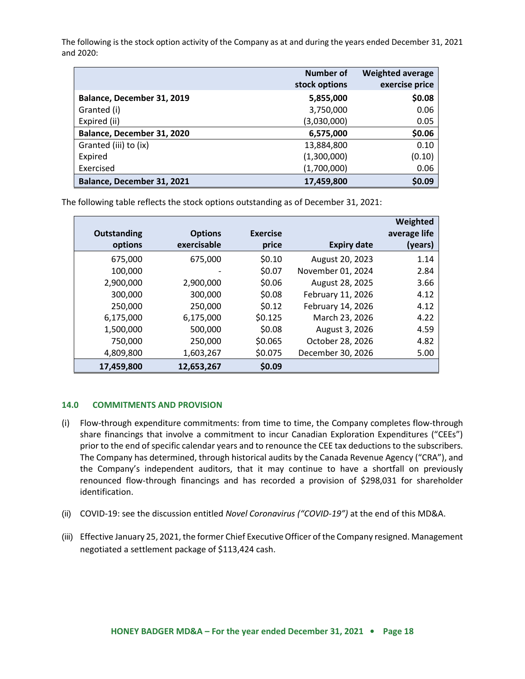The following is the stock option activity of the Company as at and during the years ended December 31, 2021 and 2020:

|                            | <b>Number of</b> | <b>Weighted average</b> |
|----------------------------|------------------|-------------------------|
|                            | stock options    | exercise price          |
| Balance, December 31, 2019 | 5,855,000        | \$0.08                  |
| Granted (i)                | 3,750,000        | 0.06                    |
| Expired (ii)               | (3,030,000)      | 0.05                    |
| Balance, December 31, 2020 | 6,575,000        | \$0.06                  |
| Granted (iii) to (ix)      | 13,884,800       | 0.10                    |
| Expired                    | (1,300,000)      | (0.10)                  |
| Exercised                  | (1,700,000)      | 0.06                    |
| Balance, December 31, 2021 | 17,459,800       | \$0.09                  |

The following table reflects the stock options outstanding as of December 31, 2021:

| Outstanding | <b>Options</b> | <b>Exercise</b> |                    | Weighted<br>average life |
|-------------|----------------|-----------------|--------------------|--------------------------|
| options     | exercisable    | price           | <b>Expiry date</b> | (years)                  |
| 675,000     | 675,000        | \$0.10          | August 20, 2023    | 1.14                     |
| 100,000     |                | \$0.07          | November 01, 2024  | 2.84                     |
| 2,900,000   | 2,900,000      | \$0.06          | August 28, 2025    | 3.66                     |
| 300,000     | 300,000        | \$0.08          | February 11, 2026  | 4.12                     |
| 250,000     | 250,000        | \$0.12          | February 14, 2026  | 4.12                     |
| 6,175,000   | 6,175,000      | \$0.125         | March 23, 2026     | 4.22                     |
| 1,500,000   | 500,000        | \$0.08          | August 3, 2026     | 4.59                     |
| 750,000     | 250,000        | \$0.065         | October 28, 2026   | 4.82                     |
| 4,809,800   | 1,603,267      | \$0.075         | December 30, 2026  | 5.00                     |
| 17,459,800  | 12,653,267     | \$0.09          |                    |                          |

#### **14.0 COMMITMENTS AND PROVISION**

- (i) Flow-through expenditure commitments: from time to time, the Company completes flow-through share financings that involve a commitment to incur Canadian Exploration Expenditures ("CEEs") prior to the end of specific calendar years and to renounce the CEE tax deductions to the subscribers. The Company has determined, through historical audits by the Canada Revenue Agency ("CRA"), and the Company's independent auditors, that it may continue to have a shortfall on previously renounced flow-through financings and has recorded a provision of \$298,031 for shareholder identification.
- (ii) COVID-19: see the discussion entitled *Novel Coronavirus ("COVID-19")* at the end of this MD&A.
- (iii) Effective January 25, 2021, the former Chief Executive Officer of the Company resigned. Management negotiated a settlement package of \$113,424 cash.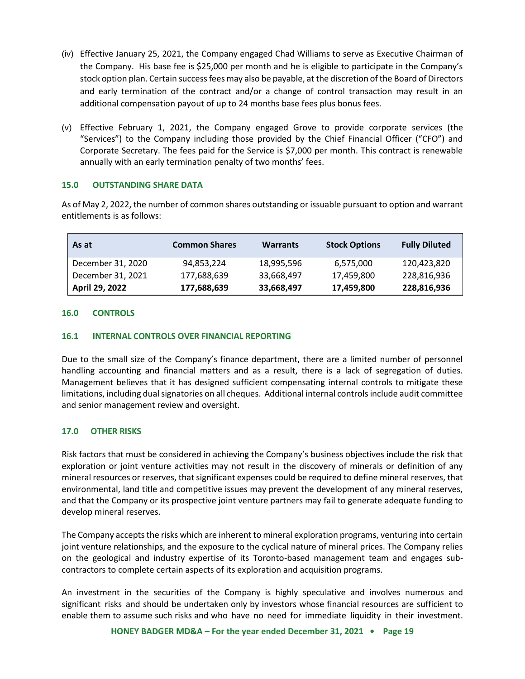- (iv) Effective January 25, 2021, the Company engaged Chad Williams to serve as Executive Chairman of the Company. His base fee is \$25,000 per month and he is eligible to participate in the Company's stock option plan. Certain success fees may also be payable, at the discretion of the Board of Directors and early termination of the contract and/or a change of control transaction may result in an additional compensation payout of up to 24 months base fees plus bonus fees.
- (v) Effective February 1, 2021, the Company engaged Grove to provide corporate services (the "Services") to the Company including those provided by the Chief Financial Officer ("CFO") and Corporate Secretary. The fees paid for the Service is \$7,000 per month. This contract is renewable annually with an early termination penalty of two months' fees.

### **15.0 OUTSTANDING SHARE DATA**

As of May 2, 2022, the number of common shares outstanding or issuable pursuant to option and warrant entitlements is as follows:

| As at             | <b>Common Shares</b> | <b>Warrants</b> | <b>Stock Options</b> | <b>Fully Diluted</b> |
|-------------------|----------------------|-----------------|----------------------|----------------------|
| December 31, 2020 | 94,853,224           | 18,995,596      | 6,575,000            | 120,423,820          |
| December 31, 2021 | 177,688,639          | 33,668,497      | 17,459,800           | 228,816,936          |
| April 29, 2022    | 177,688,639          | 33,668,497      | 17,459,800           | 228,816,936          |

### **16.0 CONTROLS**

#### **16.1 INTERNAL CONTROLS OVER FINANCIAL REPORTING**

Due to the small size of the Company's finance department, there are a limited number of personnel handling accounting and financial matters and as a result, there is a lack of segregation of duties. Management believes that it has designed sufficient compensating internal controls to mitigate these limitations, including dual signatories on all cheques. Additional internal controls include audit committee and senior management review and oversight.

### **17.0 OTHER RISKS**

Risk factors that must be considered in achieving the Company's business objectives include the risk that exploration or joint venture activities may not result in the discovery of minerals or definition of any mineral resources or reserves, that significant expenses could be required to define mineral reserves, that environmental, land title and competitive issues may prevent the development of any mineral reserves, and that the Company or its prospective joint venture partners may fail to generate adequate funding to develop mineral reserves.

The Company accepts the risks which are inherent to mineral exploration programs, venturing into certain joint venture relationships, and the exposure to the cyclical nature of mineral prices. The Company relies on the geological and industry expertise of its Toronto-based management team and engages subcontractors to complete certain aspects of its exploration and acquisition programs.

An investment in the securities of the Company is highly speculative and involves numerous and significant risks and should be undertaken only by investors whose financial resources are sufficient to enable them to assume such risks and who have no need for immediate liquidity in their investment.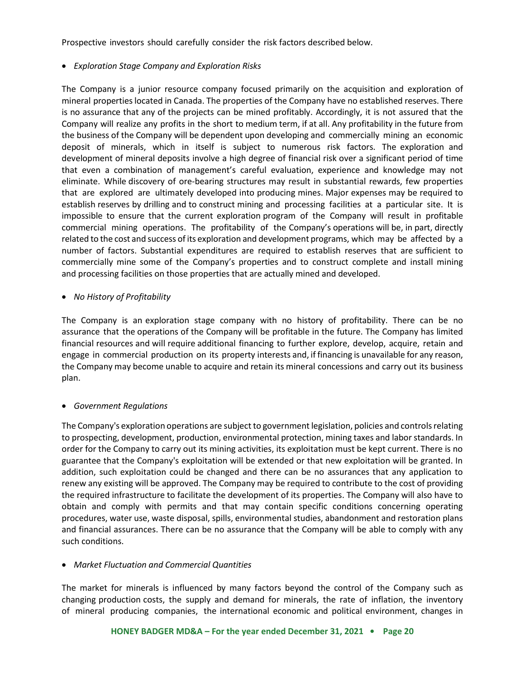Prospective investors should carefully consider the risk factors described below.

• *Exploration Stage Company and Exploration Risks*

The Company is a junior resource company focused primarily on the acquisition and exploration of mineral properties located in Canada. The properties of the Company have no established reserves. There is no assurance that any of the projects can be mined profitably. Accordingly, it is not assured that the Company will realize any profits in the short to medium term, if at all. Any profitability in the future from the business of the Company will be dependent upon developing and commercially mining an economic deposit of minerals, which in itself is subject to numerous risk factors. The exploration and development of mineral deposits involve a high degree of financial risk over a significant period of time that even a combination of management's careful evaluation, experience and knowledge may not eliminate. While discovery of ore-bearing structures may result in substantial rewards, few properties that are explored are ultimately developed into producing mines. Major expenses may be required to establish reserves by drilling and to construct mining and processing facilities at a particular site. It is impossible to ensure that the current exploration program of the Company will result in profitable commercial mining operations. The profitability of the Company's operations will be, in part, directly related to the cost and success ofits exploration and development programs, which may be affected by a number of factors. Substantial expenditures are required to establish reserves that are sufficient to commercially mine some of the Company's properties and to construct complete and install mining and processing facilities on those properties that are actually mined and developed.

### • *No History of Profitability*

The Company is an exploration stage company with no history of profitability. There can be no assurance that the operations of the Company will be profitable in the future. The Company has limited financial resources and will require additional financing to further explore, develop, acquire, retain and engage in commercial production on its property interests and, if financing is unavailable for any reason, the Company may become unable to acquire and retain its mineral concessions and carry out its business plan.

### • *Government Regulations*

The Company's exploration operations are subject to government legislation, policies and controls relating to prospecting, development, production, environmental protection, mining taxes and labor standards. In order for the Company to carry out its mining activities, its exploitation must be kept current. There is no guarantee that the Company's exploitation will be extended or that new exploitation will be granted. In addition, such exploitation could be changed and there can be no assurances that any application to renew any existing will be approved. The Company may be required to contribute to the cost of providing the required infrastructure to facilitate the development of its properties. The Company will also have to obtain and comply with permits and that may contain specific conditions concerning operating procedures, water use, waste disposal, spills, environmental studies, abandonment and restoration plans and financial assurances. There can be no assurance that the Company will be able to comply with any such conditions.

#### • *Market Fluctuation and Commercial Quantities*

The market for minerals is influenced by many factors beyond the control of the Company such as changing production costs, the supply and demand for minerals, the rate of inflation, the inventory of mineral producing companies, the international economic and political environment, changes in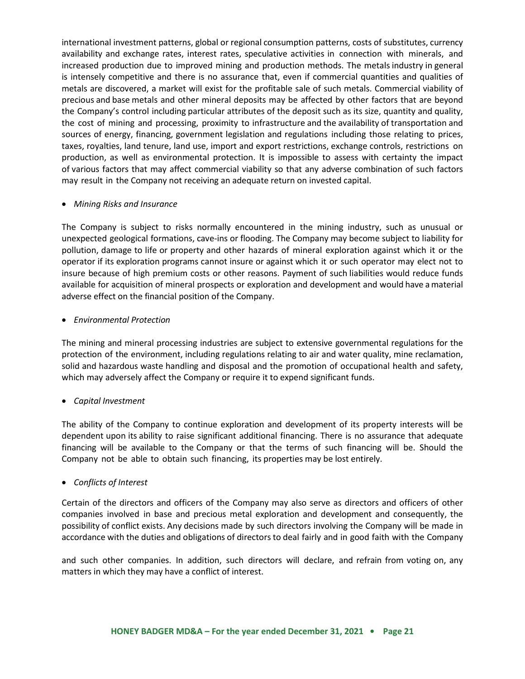international investment patterns, global or regional consumption patterns, costs of substitutes, currency availability and exchange rates, interest rates, speculative activities in connection with minerals, and increased production due to improved mining and production methods. The metals industry in general is intensely competitive and there is no assurance that, even if commercial quantities and qualities of metals are discovered, a market will exist for the profitable sale of such metals. Commercial viability of precious and base metals and other mineral deposits may be affected by other factors that are beyond the Company's control including particular attributes of the deposit such as its size, quantity and quality, the cost of mining and processing, proximity to infrastructure and the availability of transportation and sources of energy, financing, government legislation and regulations including those relating to prices, taxes, royalties, land tenure, land use, import and export restrictions, exchange controls, restrictions on production, as well as environmental protection. It is impossible to assess with certainty the impact of various factors that may affect commercial viability so that any adverse combination of such factors may result in the Company not receiving an adequate return on invested capital.

#### • *Mining Risks and Insurance*

The Company is subject to risks normally encountered in the mining industry, such as unusual or unexpected geological formations, cave-ins or flooding. The Company may become subject to liability for pollution, damage to life or property and other hazards of mineral exploration against which it or the operator if its exploration programs cannot insure or against which it or such operator may elect not to insure because of high premium costs or other reasons. Payment of such liabilities would reduce funds available for acquisition of mineral prospects or exploration and development and would have a material adverse effect on the financial position of the Company.

• *Environmental Protection*

The mining and mineral processing industries are subject to extensive governmental regulations for the protection of the environment, including regulations relating to air and water quality, mine reclamation, solid and hazardous waste handling and disposal and the promotion of occupational health and safety, which may adversely affect the Company or require it to expend significant funds.

### • *Capital Investment*

The ability of the Company to continue exploration and development of its property interests will be dependent upon its ability to raise significant additional financing. There is no assurance that adequate financing will be available to the Company or that the terms of such financing will be. Should the Company not be able to obtain such financing, its properties may be lost entirely.

### • *Conflicts of Interest*

Certain of the directors and officers of the Company may also serve as directors and officers of other companies involved in base and precious metal exploration and development and consequently, the possibility of conflict exists. Any decisions made by such directors involving the Company will be made in accordance with the duties and obligations of directors to deal fairly and in good faith with the Company

and such other companies. In addition, such directors will declare, and refrain from voting on, any matters in which they may have a conflict of interest.